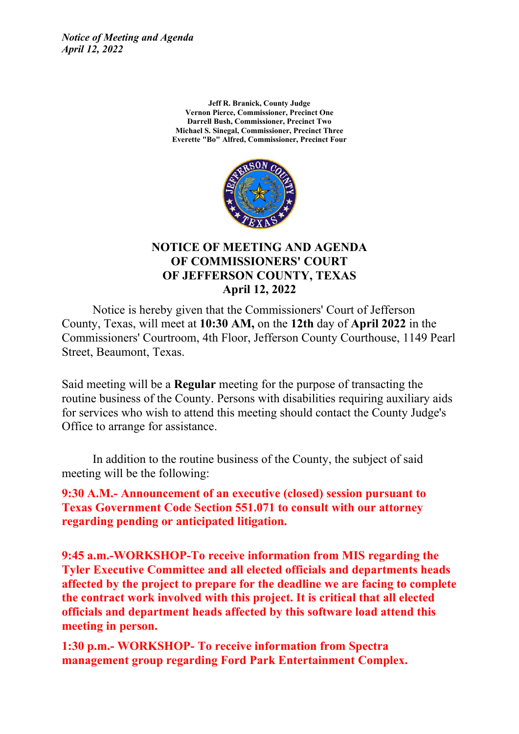*Notice of Meeting and Agenda April 12, 2022*

> **Jeff R. Branick, County Judge Vernon Pierce, Commissioner, Precinct One Darrell Bush, Commissioner, Precinct Two Michael S. Sinegal, Commissioner, Precinct Three Everette "Bo" Alfred, Commissioner, Precinct Four**



### **NOTICE OF MEETING AND AGENDA OF COMMISSIONERS' COURT OF JEFFERSON COUNTY, TEXAS April 12, 2022**

Notice is hereby given that the Commissioners' Court of Jefferson County, Texas, will meet at **10:30 AM,** on the **12th** day of **April 2022** in the Commissioners' Courtroom, 4th Floor, Jefferson County Courthouse, 1149 Pearl Street, Beaumont, Texas.

Said meeting will be a **Regular** meeting for the purpose of transacting the routine business of the County. Persons with disabilities requiring auxiliary aids for services who wish to attend this meeting should contact the County Judge's Office to arrange for assistance.

In addition to the routine business of the County, the subject of said meeting will be the following:

**9:30 A.M.- Announcement of an executive (closed) session pursuant to Texas Government Code Section 551.071 to consult with our attorney regarding pending or anticipated litigation.**

**9:45 a.m.-WORKSHOP-To receive information from MIS regarding the Tyler Executive Committee and all elected officials and departments heads affected by the project to prepare for the deadline we are facing to complete the contract work involved with this project. It is critical that all elected officials and department heads affected by this software load attend this meeting in person.**

**1:30 p.m.- WORKSHOP- To receive information from Spectra management group regarding Ford Park Entertainment Complex.**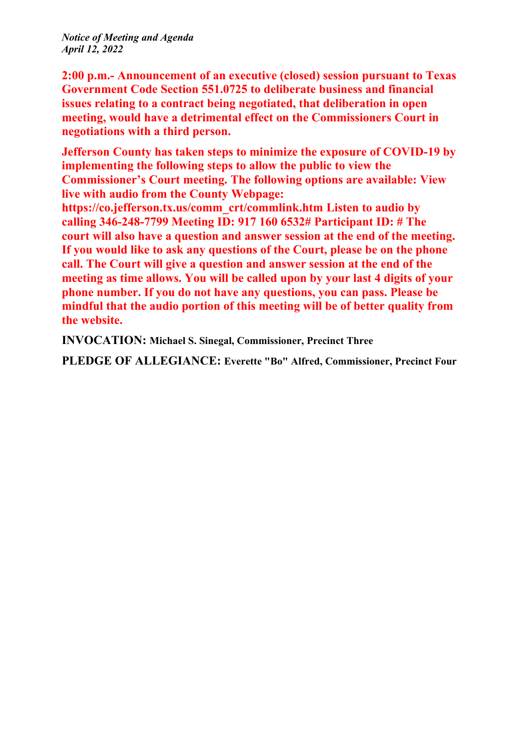*Notice of Meeting and Agenda April 12, 2022*

**2:00 p.m.- Announcement of an executive (closed) session pursuant to Texas Government Code Section 551.0725 to deliberate business and financial issues relating to a contract being negotiated, that deliberation in open meeting, would have a detrimental effect on the Commissioners Court in negotiations with a third person.**

**Jefferson County has taken steps to minimize the exposure of COVID-19 by implementing the following steps to allow the public to view the Commissioner's Court meeting. The following options are available: View live with audio from the County Webpage:**

**https://co.jefferson.tx.us/comm\_crt/commlink.htm Listen to audio by calling 346-248-7799 Meeting ID: 917 160 6532# Participant ID: # The court will also have a question and answer session at the end of the meeting. If you would like to ask any questions of the Court, please be on the phone call. The Court will give a question and answer session at the end of the meeting as time allows. You will be called upon by your last 4 digits of your phone number. If you do not have any questions, you can pass. Please be mindful that the audio portion of this meeting will be of better quality from the website.**

**INVOCATION: Michael S. Sinegal, Commissioner, Precinct Three**

**PLEDGE OF ALLEGIANCE: Everette "Bo" Alfred, Commissioner, Precinct Four**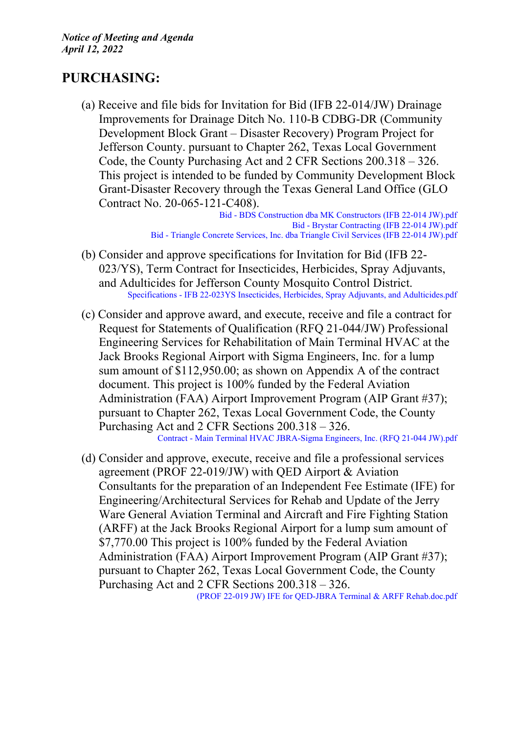# **PURCHASING:**

(a) Receive and file bids for Invitation for Bid (IFB 22-014/JW) Drainage Improvements for Drainage Ditch No. 110-B CDBG-DR (Community Development Block Grant – Disaster Recovery) Program Project for Jefferson County. pursuant to Chapter 262, Texas Local Government Code, the County Purchasing Act and 2 CFR Sections 200.318 – 326. This project is intended to be funded by Community Development Block Grant-Disaster Recovery through the Texas General Land Office (GLO Contract No. 20-065-121-C408).

> Bid - BDS [Construction](http://co.jefferson.tx.us/agenda/agendas_pl/20220412_687/Attachments/Bid%20-%20BDS%20Construction%20dba%20MK%20Constructors%20%28IFB%2022-014%20JW%29.pdf) dba MK Constructors (IFB 22-014 JW).pdf Bid - Brystar [Contracting](http://co.jefferson.tx.us/agenda/agendas_pl/20220412_687/Attachments/Bid%20-%20Brystar%20Contracting%20%28IFB%2022-014%20JW%29.pdf) (IFB 22-014 JW).pdf Bid - Triangle Concrete [Services,](http://co.jefferson.tx.us/agenda/agendas_pl/20220412_687/Attachments/Bid%20-%20Triangle%20Concrete%20Services%2C%20Inc.%20dba%20Triangle%20Civil%20Services%20%28IFB%2022-014%20JW%29.pdf) Inc. dba Triangle Civil Services (IFB 22-014 JW).pdf

- (b) Consider and approve specifications for Invitation for Bid (IFB 22- 023/YS), Term Contract for Insecticides, Herbicides, Spray Adjuvants, and Adulticides for Jefferson County Mosquito Control District. Specifications - IFB 22-023YS Insecticides, Herbicides, Spray Adjuvants, and [Adulticides.pdf](http://co.jefferson.tx.us/agenda/agendas_pl/20220412_687/Attachments/Specifications%20-%20IFB%2022-023YS%20Insecticides%2C%20Herbicides%2C%20Spray%20Adjuvants%2C%20and%20Adulticides.pdf)
- (c) Consider and approve award, and execute, receive and file a contract for Request for Statements of Qualification (RFQ 21-044/JW) Professional Engineering Services for Rehabilitation of Main Terminal HVAC at the Jack Brooks Regional Airport with Sigma Engineers, Inc. for a lump sum amount of \$112,950.00; as shown on Appendix A of the contract document. This project is 100% funded by the Federal Aviation Administration (FAA) Airport Improvement Program (AIP Grant #37); pursuant to Chapter 262, Texas Local Government Code, the County Purchasing Act and 2 CFR Sections 200.318 – 326. Contract - Main Terminal HVAC [JBRA-Sigma](http://co.jefferson.tx.us/agenda/agendas_pl/20220412_687/Attachments/Contract%20-%20Main%20Terminal%20HVAC%20JBRA-Sigma%20Engineers%2C%20Inc.%20%28RFQ%2021-044%20JW%29.pdf) Engineers, Inc. (RFQ 21-044 JW).pdf
- (d) Consider and approve, execute, receive and file a professional services agreement (PROF 22-019/JW) with QED Airport & Aviation Consultants for the preparation of an Independent Fee Estimate (IFE) for Engineering/Architectural Services for Rehab and Update of the Jerry Ware General Aviation Terminal and Aircraft and Fire Fighting Station (ARFF) at the Jack Brooks Regional Airport for a lump sum amount of \$7,770.00 This project is 100% funded by the Federal Aviation Administration (FAA) Airport Improvement Program (AIP Grant #37); pursuant to Chapter 262, Texas Local Government Code, the County Purchasing Act and 2 CFR Sections 200.318 – 326.

(PROF 22-019 JW) IFE for QED-JBRA Terminal & ARFF [Rehab.doc.pdf](http://co.jefferson.tx.us/agenda/agendas_pl/20220412_687/Attachments/%28PROF%2022-019%20JW%29%20%20IFE%20for%20QED-JBRA%20Terminal%20%26%20ARFF%20Rehab.doc.pdf)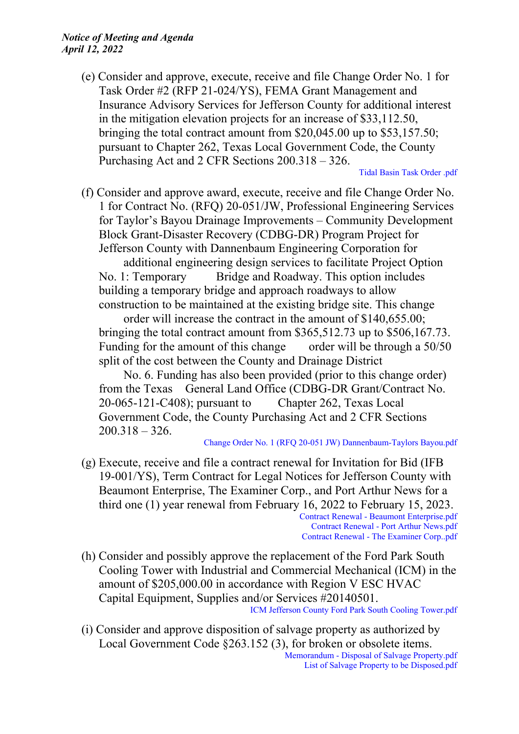(e) Consider and approve, execute, receive and file Change Order No. 1 for Task Order #2 (RFP 21-024/YS), FEMA Grant Management and Insurance Advisory Services for Jefferson County for additional interest in the mitigation elevation projects for an increase of \$33,112.50, bringing the total contract amount from \$20,045.00 up to \$53,157.50; pursuant to Chapter 262, Texas Local Government Code, the County Purchasing Act and 2 CFR Sections 200.318 – 326.

Tidal Basin Task [Order](http://co.jefferson.tx.us/agenda/agendas_pl/20220412_687/Attachments/Tidal%20Basin%20Task%20Order%20.pdf) .pdf

(f) Consider and approve award, execute, receive and file Change Order No. 1 for Contract No. (RFQ) 20-051/JW, Professional Engineering Services for Taylor's Bayou Drainage Improvements – Community Development Block Grant-Disaster Recovery (CDBG-DR) Program Project for Jefferson County with Dannenbaum Engineering Corporation for

additional engineering design services to facilitate Project Option No. 1: Temporary Bridge and Roadway. This option includes building a temporary bridge and approach roadways to allow construction to be maintained at the existing bridge site. This change

order will increase the contract in the amount of \$140,655.00; bringing the total contract amount from \$365,512.73 up to \$506,167.73. Funding for the amount of this change order will be through a 50/50 split of the cost between the County and Drainage District

No. 6. Funding has also been provided (prior to this change order) from the Texas General Land Office (CDBG-DR Grant/Contract No. 20-065-121-C408); pursuant to Chapter 262, Texas Local Government Code, the County Purchasing Act and 2 CFR Sections  $200.318 - 326.$ 

#### Change Order No. 1 (RFQ 20-051 JW) [Dannenbaum-Taylors](http://co.jefferson.tx.us/agenda/agendas_pl/20220412_687/Attachments/Change%20Order%20No.%201%20%28RFQ%2020-051%20JW%29%20Dannenbaum-Taylors%20Bayou.pdf) Bayou.pdf

(g) Execute, receive and file a contract renewal for Invitation for Bid (IFB 19-001/YS), Term Contract for Legal Notices for Jefferson County with Beaumont Enterprise, The Examiner Corp., and Port Arthur News for a third one (1) year renewal from February 16, 2022 to February 15, 2023. Contract Renewal - Beaumont [Enterprise.pdf](http://co.jefferson.tx.us/agenda/agendas_pl/20220412_687/Attachments/Contract%20Renewal%20-%20Beaumont%20Enterprise.pdf) Contract Renewal - Port Arthur [News.pdf](http://co.jefferson.tx.us/agenda/agendas_pl/20220412_687/Attachments/Contract%20Renewal%20-%20Port%20Arthur%20News.pdf)

Contract Renewal - The [Examiner](http://co.jefferson.tx.us/agenda/agendas_pl/20220412_687/Attachments/Contract%20Renewal%20-%20The%20Examiner%20Corp..pdf) Corp..pdf

- (h) Consider and possibly approve the replacement of the Ford Park South Cooling Tower with Industrial and Commercial Mechanical (ICM) in the amount of \$205,000.00 in accordance with Region V ESC HVAC Capital Equipment, Supplies and/or Services #20140501. ICM Jefferson County Ford Park South Cooling [Tower.pdf](http://co.jefferson.tx.us/agenda/agendas_pl/20220412_687/Attachments/ICM%20Jefferson%20County%20Ford%20Park%20South%20Cooling%20Tower.pdf)
- (i) Consider and approve disposition of salvage property as authorized by Local Government Code §263.152 (3), for broken or obsolete items. [Memorandum](http://co.jefferson.tx.us/agenda/agendas_pl/20220412_687/Attachments/Memorandum%20-%20Disposal%20of%20Salvage%20Property.pdf) - Disposal of Salvage Property.pdf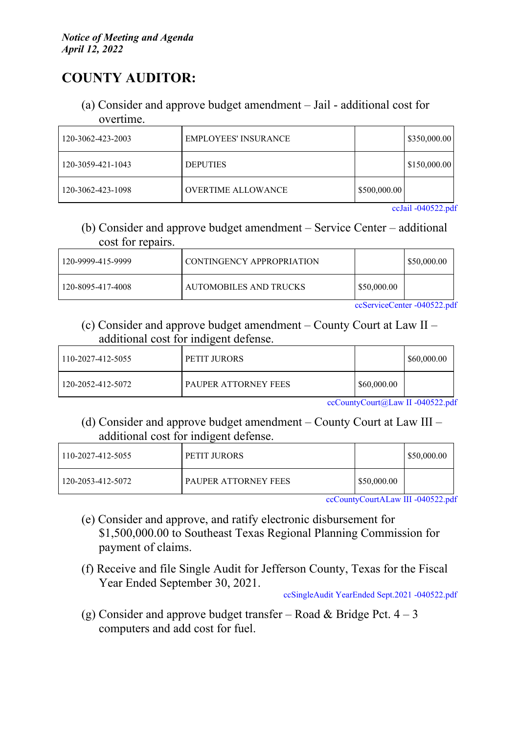# **COUNTY AUDITOR:**

(a) Consider and approve budget amendment – Jail - additional cost for overtime.

| 120-3062-423-2003 | <b>EMPLOYEES' INSURANCE</b> |              | \$350,000.00 |
|-------------------|-----------------------------|--------------|--------------|
| 120-3059-421-1043 | <b>DEPUTIES</b>             |              | \$150,000.00 |
| 120-3062-423-1098 | <b>OVERTIME ALLOWANCE</b>   | \$500,000.00 |              |

ccJail [-040522.pdf](http://co.jefferson.tx.us/agenda/agendas_pl/20220412_687/Attachments/ccJail%20-040522.pdf)

(b) Consider and approve budget amendment – Service Center – additional cost for repairs.

| 120-9999-415-9999 | CONTINGENCY APPROPRIATION |             | \$50,000.00 |
|-------------------|---------------------------|-------------|-------------|
| 120-8095-417-4008 | AUTOMOBILES AND TRUCKS    | \$50,000.00 |             |

[ccServiceCenter](http://co.jefferson.tx.us/agenda/agendas_pl/20220412_687/Attachments/ccServiceCenter%20-040522.pdf) -040522.pdf

(c) Consider and approve budget amendment – County Court at Law II – additional cost for indigent defense.

| 110-2027-412-5055 | <b>PETIT JURORS</b>    |                               | \$60,000.00                             |
|-------------------|------------------------|-------------------------------|-----------------------------------------|
| 120-2052-412-5072 | I PAUPER ATTORNEY FEES | \$60,000.00                   |                                         |
|                   | $\sqrt{ }$             | $\overline{a}$ $\overline{a}$ | $\mathbf{H}$ $\alpha$ $\alpha$ $\alpha$ |

[ccCountyCourt@Law](http://co.jefferson.tx.us/agenda/agendas_pl/20220412_687/Attachments/ccCountyCourt%40Law%20II%20-040522.pdf) II -040522.pdf

(d) Consider and approve budget amendment – County Court at Law III – additional cost for indigent defense.

| 110-2027-412-5055 | PETIT JURORS                |               | \$50,000.00 |
|-------------------|-----------------------------|---------------|-------------|
| 120-2053-412-5072 | <b>PAUPER ATTORNEY FEES</b> | l \$50,000.00 |             |

[ccCountyCourtALaw](http://co.jefferson.tx.us/agenda/agendas_pl/20220412_687/Attachments/ccCountyCourtALaw%20III%20-040522.pdf) III -040522.pdf

- (e) Consider and approve, and ratify electronic disbursement for \$1,500,000.00 to Southeast Texas Regional Planning Commission for payment of claims.
- (f) Receive and file Single Audit for Jefferson County, Texas for the Fiscal Year Ended September 30, 2021.

[ccSingleAudit](http://co.jefferson.tx.us/agenda/agendas_pl/20220412_687/Attachments/ccSingleAudit%20YearEnded%20Sept.2021%20-040522.pdf) YearEnded Sept.2021 -040522.pdf

(g) Consider and approve budget transfer – Road & Bridge Pct.  $4-3$ computers and add cost for fuel.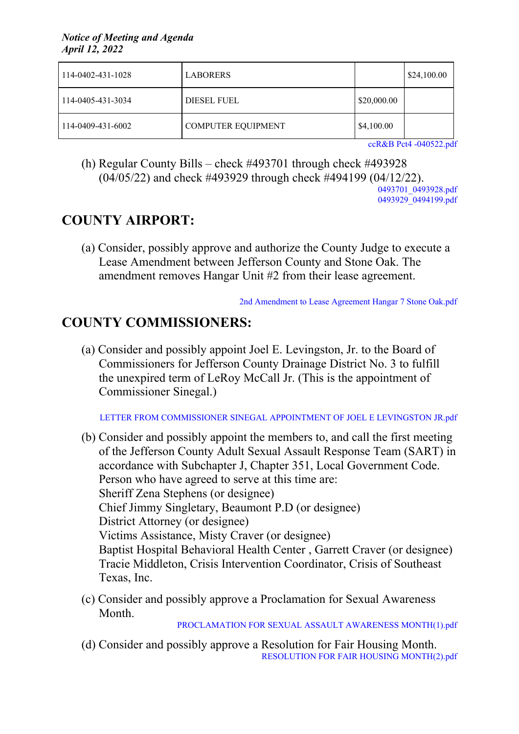| 114-0402-431-1028 | <b>LABORERS</b>           |             | $\frac{$24,100.00}{ }$ |
|-------------------|---------------------------|-------------|------------------------|
| 114-0405-431-3034 | DIESEL FUEL               | \$20,000.00 |                        |
| 114-0409-431-6002 | <b>COMPUTER EQUIPMENT</b> | \$4,100.00  |                        |

ccR&B Pct4 [-040522.pdf](http://co.jefferson.tx.us/agenda/agendas_pl/20220412_687/Attachments/ccR%26B%20Pct4%20-040522.pdf)

(h) Regular County Bills – check #493701 through check #493928 (04/05/22) and check #493929 through check #494199 (04/12/22).

> [0493701\\_0493928.pdf](http://co.jefferson.tx.us/agenda/agendas_pl/20220412_687/Attachments/0493701_0493928.pdf) 0493929<sup>-</sup>0494199.pdf

# **COUNTY AIRPORT:**

(a) Consider, possibly approve and authorize the County Judge to execute a Lease Amendment between Jefferson County and Stone Oak. The amendment removes Hangar Unit #2 from their lease agreement.

2nd [Amendment](http://co.jefferson.tx.us/agenda/agendas_pl/20220412_687/Attachments/2nd%20Amendment%20to%20Lease%20Agreement%20Hangar%207%20Stone%20Oak.pdf) to Lease Agreement Hangar 7 Stone Oak.pdf

# **COUNTY COMMISSIONERS:**

(a) Consider and possibly appoint Joel E. Levingston, Jr. to the Board of Commissioners for Jefferson County Drainage District No. 3 to fulfill the unexpired term of LeRoy McCall Jr. (This is the appointment of Commissioner Sinegal.)

LETTER FROM [COMMISSIONER](http://co.jefferson.tx.us/agenda/agendas_pl/20220412_687/Attachments/LETTER%20FROM%20COMMISSIONER%20SINEGAL%20APPOINTMENT%20OF%20JOEL%20E%20LEVINGSTON%20JR.pdf) SINEGAL APPOINTMENT OF JOEL E LEVINGSTON JR.pdf

- (b) Consider and possibly appoint the members to, and call the first meeting of the Jefferson County Adult Sexual Assault Response Team (SART) in accordance with Subchapter J, Chapter 351, Local Government Code. Person who have agreed to serve at this time are: Sheriff Zena Stephens (or designee) Chief Jimmy Singletary, Beaumont P.D (or designee) District Attorney (or designee) Victims Assistance, Misty Craver (or designee) Baptist Hospital Behavioral Health Center , Garrett Craver (or designee) Tracie Middleton, Crisis Intervention Coordinator, Crisis of Southeast Texas, Inc.
- (c) Consider and possibly approve a Proclamation for Sexual Awareness Month.

[PROCLAMATION](http://co.jefferson.tx.us/agenda/agendas_pl/20220412_687/Attachments/PROCLAMATION%20FOR%20SEXUAL%20ASSAULT%20AWARENESS%20MONTH%281%29.pdf) FOR SEXUAL ASSAULT AWARENESS MONTH(1).pdf

(d) Consider and possibly approve a Resolution for Fair Housing Month. RESOLUTION FOR FAIR HOUSING [MONTH\(2\).pdf](http://co.jefferson.tx.us/agenda/agendas_pl/20220412_687/Attachments/RESOLUTION%20FOR%20FAIR%20HOUSING%20MONTH%282%29.pdf)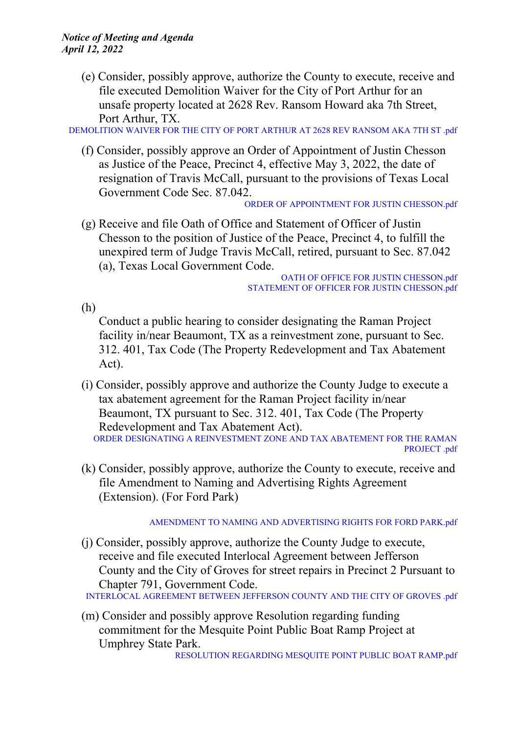(e) Consider, possibly approve, authorize the County to execute, receive and file executed Demolition Waiver for the City of Port Arthur for an unsafe property located at 2628 Rev. Ransom Howard aka 7th Street, Port Arthur, TX.

[DEMOLITION](http://co.jefferson.tx.us/agenda/agendas_pl/20220412_687/Attachments/DEMOLITION%20WAIVER%20FOR%20THE%20CITY%20OF%20PORT%20ARTHUR%20AT%202628%20REV%20RANSOM%20AKA%207TH%20ST%20.pdf) WAIVER FOR THE CITY OF PORT ARTHUR AT 2628 REV RANSOM AKA 7TH ST .pdf

(f) Consider, possibly approve an Order of Appointment of Justin Chesson as Justice of the Peace, Precinct 4, effective May 3, 2022, the date of resignation of Travis McCall, pursuant to the provisions of Texas Local Government Code Sec. 87.042.

ORDER OF [APPOINTMENT](http://co.jefferson.tx.us/agenda/agendas_pl/20220412_687/Attachments/ORDER%20OF%20APPOINTMENT%20FOR%20JUSTIN%20CHESSON.pdf) FOR JUSTIN CHESSON.pdf

(g) Receive and file Oath of Office and Statement of Officer of Justin Chesson to the position of Justice of the Peace, Precinct 4, to fulfill the unexpired term of Judge Travis McCall, retired, pursuant to Sec. 87.042 (a), Texas Local Government Code.

OATH OF OFFICE FOR JUSTIN [CHESSON.pdf](http://co.jefferson.tx.us/agenda/agendas_pl/20220412_687/Attachments/OATH%20OF%20OFFICE%20FOR%20JUSTIN%20CHESSON.pdf) STATEMENT OF OFFICER FOR JUSTIN [CHESSON.pdf](http://co.jefferson.tx.us/agenda/agendas_pl/20220412_687/Attachments/STATEMENT%20OF%20OFFICER%20FOR%20JUSTIN%20CHESSON.pdf)

(h)

Conduct a public hearing to consider designating the Raman Project facility in/near Beaumont, TX as a reinvestment zone, pursuant to Sec. 312. 401, Tax Code (The Property Redevelopment and Tax Abatement Act).

(i) Consider, possibly approve and authorize the County Judge to execute a tax abatement agreement for the Raman Project facility in/near Beaumont, TX pursuant to Sec. 312. 401, Tax Code (The Property Redevelopment and Tax Abatement Act). ORDER DESIGNATING A [REINVESTMENT](http://co.jefferson.tx.us/agenda/agendas_pl/20220412_687/Attachments/ORDER%20DESIGNATING%20A%20REINVESTMENT%20ZONE%20AND%20TAX%20ABATEMENT%20FOR%20THE%20RAMAN%20PROJECT%20.pdf) ZONE AND TAX ABATEMENT FOR THE RAMAN

```
PROJECT .pdf
(k) Consider, possibly approve, authorize the County to execute, receive and
```
file Amendment to Naming and Advertising Rights Agreement (Extension). (For Ford Park)

#### AMENDMENT TO NAMING AND [ADVERTISING](http://co.jefferson.tx.us/agenda/agendas_pl/20220412_687/Attachments/AMENDMENT%20TO%20NAMING%20AND%20ADVERTISING%20RIGHTS%20FOR%20FORD%20PARK.pdf) RIGHTS FOR FORD PARK.pdf

(j) Consider, possibly approve, authorize the County Judge to execute, receive and file executed Interlocal Agreement between Jefferson County and the City of Groves for street repairs in Precinct 2 Pursuant to Chapter 791, Government Code.

[INTERLOCAL](http://co.jefferson.tx.us/agenda/agendas_pl/20220412_687/Attachments/INTERLOCAL%20AGREEMENT%20BETWEEN%20JEFFERSON%20COUNTY%20AND%20THE%20CITY%20OF%20GROVES%20.pdf) AGREEMENT BETWEEN JEFFERSON COUNTY AND THE CITY OF GROVES .pdf

(m) Consider and possibly approve Resolution regarding funding commitment for the Mesquite Point Public Boat Ramp Project at Umphrey State Park.

[RESOLUTION](http://co.jefferson.tx.us/agenda/agendas_pl/20220412_687/Attachments/RESOLUTION%20REGARDING%20MESQUITE%20POINT%20PUBLIC%20BOAT%20RAMP.pdf) REGARDING MESQUITE POINT PUBLIC BOAT RAMP.pdf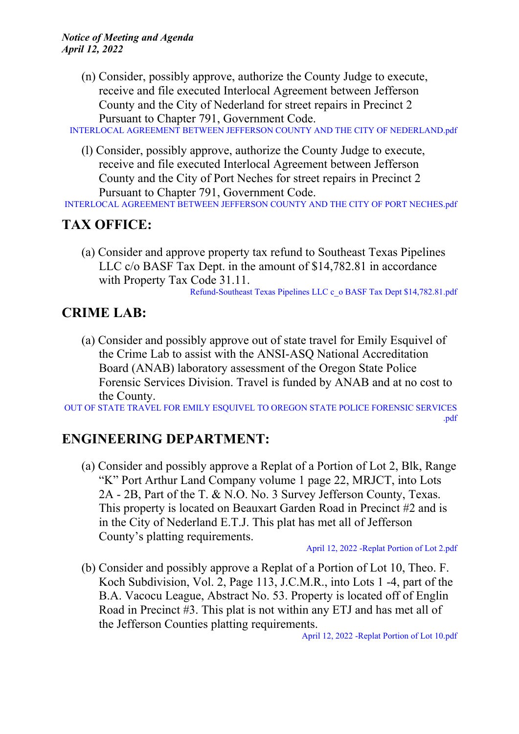(n) Consider, possibly approve, authorize the County Judge to execute, receive and file executed Interlocal Agreement between Jefferson County and the City of Nederland for street repairs in Precinct 2 Pursuant to Chapter 791, Government Code.

INTERLOCAL AGREEMENT BETWEEN JEFFERSON COUNTY AND THE CITY OF [NEDERLAND.pdf](http://co.jefferson.tx.us/agenda/agendas_pl/20220412_687/Attachments/INTERLOCAL%20AGREEMENT%20BETWEEN%20JEFFERSON%20COUNTY%20AND%20THE%20CITY%20OF%20NEDERLAND.pdf)

(l) Consider, possibly approve, authorize the County Judge to execute, receive and file executed Interlocal Agreement between Jefferson County and the City of Port Neches for street repairs in Precinct 2 Pursuant to Chapter 791, Government Code.

[INTERLOCAL](http://co.jefferson.tx.us/agenda/agendas_pl/20220412_687/Attachments/INTERLOCAL%20AGREEMENT%20BETWEEN%20JEFFERSON%20COUNTY%20AND%20THE%20CITY%20OF%20PORT%20NECHES.pdf) AGREEMENT BETWEEN JEFFERSON COUNTY AND THE CITY OF PORT NECHES.pdf

# **TAX OFFICE:**

(a) Consider and approve property tax refund to Southeast Texas Pipelines LLC c/o BASF Tax Dept. in the amount of \$14,782.81 in accordance with Property Tax Code 31.11.

[Refund-Southeast](http://co.jefferson.tx.us/agenda/agendas_pl/20220412_687/Attachments/Refund-Southeast%20Texas%20Pipelines%20LLC%20c_o%20BASF%20Tax%20Dept%20%2414%2C782.81.pdf) Texas Pipelines LLC c\_o BASF Tax Dept \$14,782.81.pdf

### **CRIME LAB:**

(a) Consider and possibly approve out of state travel for Emily Esquivel of the Crime Lab to assist with the ANSI-ASQ National Accreditation Board (ANAB) laboratory assessment of the Oregon State Police Forensic Services Division. Travel is funded by ANAB and at no cost to the County.

OUT OF STATE TRAVEL FOR EMILY [ESQUIVEL](http://co.jefferson.tx.us/agenda/agendas_pl/20220412_687/Attachments/OUT%20OF%20STATE%20TRAVEL%20FOR%20EMILY%20ESQUIVEL%20TO%20OREGON%20STATE%20POLICE%20FORENSIC%20SERVICES%20.pdf) TO OREGON STATE POLICE FORENSIC SERVICES [.pdf](http://co.jefferson.tx.us/agenda/agendas_pl/20220412_687/Attachments/OUT%20OF%20STATE%20TRAVEL%20FOR%20EMILY%20ESQUIVEL%20TO%20OREGON%20STATE%20POLICE%20FORENSIC%20SERVICES%20.pdf)

## **ENGINEERING DEPARTMENT:**

(a) Consider and possibly approve a Replat of a Portion of Lot 2, Blk, Range "K" Port Arthur Land Company volume 1 page 22, MRJCT, into Lots 2A - 2B, Part of the T. & N.O. No. 3 Survey Jefferson County, Texas. This property is located on Beauxart Garden Road in Precinct #2 and is in the City of Nederland E.T.J. This plat has met all of Jefferson County's platting requirements.

April 12, 2022 -Replat [Portion](http://co.jefferson.tx.us/agenda/agendas_pl/20220412_687/Attachments/April%2012%2C%202022%20-Replat%20Portion%20of%20Lot%202.pdf) of Lot 2.pdf

(b) Consider and possibly approve a Replat of a Portion of Lot 10, Theo. F. Koch Subdivision, Vol. 2, Page 113, J.C.M.R., into Lots 1 -4, part of the B.A. Vacocu League, Abstract No. 53. Property is located off of Englin Road in Precinct #3. This plat is not within any ETJ and has met all of the Jefferson Counties platting requirements.

April 12, 2022 -Replat [Portion](http://co.jefferson.tx.us/agenda/agendas_pl/20220412_687/Attachments/April%2012%2C%202022%20-Replat%20Portion%20of%20Lot%2010.pdf) of Lot 10.pdf